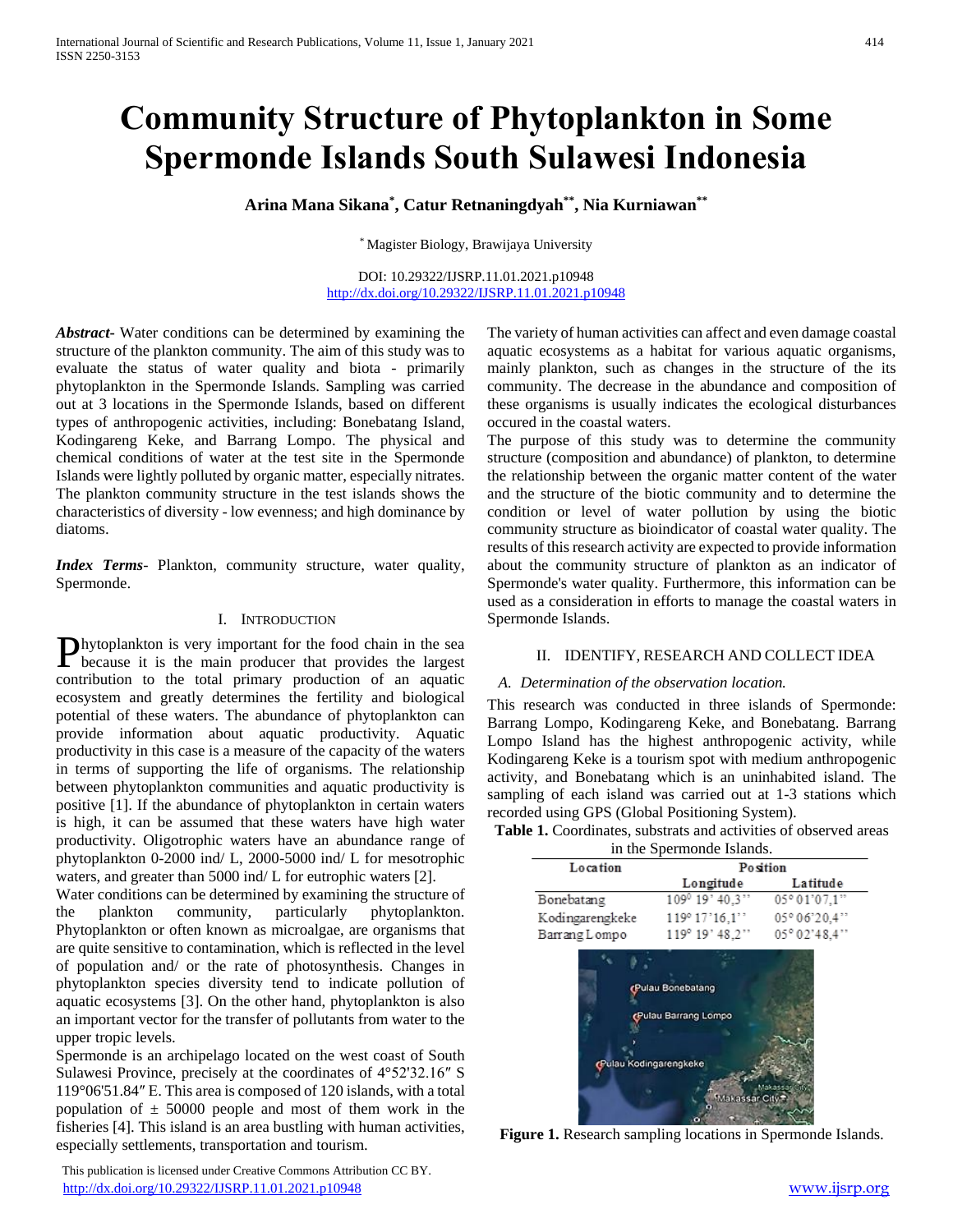# **Community Structure of Phytoplankton in Some Spermonde Islands South Sulawesi Indonesia**

**Arina Mana Sikana\* , Catur Retnaningdyah\*\* , Nia Kurniawan\*\***

\* Magister Biology, Brawijaya University

DOI: 10.29322/IJSRP.11.01.2021.p10948 <http://dx.doi.org/10.29322/IJSRP.11.01.2021.p10948>

*Abstract***-** Water conditions can be determined by examining the structure of the plankton community. The aim of this study was to evaluate the status of water quality and biota - primarily phytoplankton in the Spermonde Islands. Sampling was carried out at 3 locations in the Spermonde Islands, based on different types of anthropogenic activities, including: Bonebatang Island, Kodingareng Keke, and Barrang Lompo. The physical and chemical conditions of water at the test site in the Spermonde Islands were lightly polluted by organic matter, especially nitrates. The plankton community structure in the test islands shows the characteristics of diversity - low evenness; and high dominance by diatoms.

*Index Terms*- Plankton, community structure, water quality, Spermonde.

## I. INTRODUCTION

hytoplankton is very important for the food chain in the sea Phytoplankton is very important for the food chain in the sea because it is the main producer that provides the largest contribution to the total primary production of an aquatic ecosystem and greatly determines the fertility and biological potential of these waters. The abundance of phytoplankton can provide information about aquatic productivity. Aquatic productivity in this case is a measure of the capacity of the waters in terms of supporting the life of organisms. The relationship between phytoplankton communities and aquatic productivity is positive [1]. If the abundance of phytoplankton in certain waters is high, it can be assumed that these waters have high water productivity. Oligotrophic waters have an abundance range of phytoplankton 0-2000 ind/ L, 2000-5000 ind/ L for mesotrophic waters, and greater than 5000 ind/ L for eutrophic waters [2].

Water conditions can be determined by examining the structure of the plankton community, particularly phytoplankton. Phytoplankton or often known as microalgae, are organisms that are quite sensitive to contamination, which is reflected in the level of population and/ or the rate of photosynthesis. Changes in phytoplankton species diversity tend to indicate pollution of aquatic ecosystems [3]. On the other hand, phytoplankton is also an important vector for the transfer of pollutants from water to the upper tropic levels.

Spermonde is an archipelago located on the west coast of South Sulawesi Province, precisely at the coordinates of 4°52'32.16″ S 119°06'51.84″ E. This area is composed of 120 islands, with a total population of  $\pm$  50000 people and most of them work in the fisheries [4]. This island is an area bustling with human activities, especially settlements, transportation and tourism.

 This publication is licensed under Creative Commons Attribution CC BY. <http://dx.doi.org/10.29322/IJSRP.11.01.2021.p10948> [www.ijsrp.org](http://ijsrp.org/)

The variety of human activities can affect and even damage coastal aquatic ecosystems as a habitat for various aquatic organisms, mainly plankton, such as changes in the structure of the its community. The decrease in the abundance and composition of these organisms is usually indicates the ecological disturbances occured in the coastal waters.

The purpose of this study was to determine the community structure (composition and abundance) of plankton, to determine the relationship between the organic matter content of the water and the structure of the biotic community and to determine the condition or level of water pollution by using the biotic community structure as bioindicator of coastal water quality. The results of this research activity are expected to provide information about the community structure of plankton as an indicator of Spermonde's water quality. Furthermore, this information can be used as a consideration in efforts to manage the coastal waters in Spermonde Islands.

## II. IDENTIFY, RESEARCH AND COLLECT IDEA

## *A. Determination of the observation location.*

This research was conducted in three islands of Spermonde: Barrang Lompo, Kodingareng Keke, and Bonebatang. Barrang Lompo Island has the highest anthropogenic activity, while Kodingareng Keke is a tourism spot with medium anthropogenic activity, and Bonebatang which is an uninhabited island. The sampling of each island was carried out at 1-3 stations which recorded using GPS (Global Positioning System).

Table 1. Coordinates, substrats and activities of observed areas

|                 | in the Spermonde Islands. |               |  |  |
|-----------------|---------------------------|---------------|--|--|
| Location        | Position                  |               |  |  |
|                 | Longitude                 | Latitude      |  |  |
| Bonebatang      | 109 19' 40.3"             | 05°01'07,1"   |  |  |
| Kodingarengkeke | 119° 17'16.1"             | 05° 06' 20,4" |  |  |
| Barrang Lompo   | 119° 19' 48.2"            | 05° 02' 48,4" |  |  |



**Figure 1.** Research sampling locations in Spermonde Islands.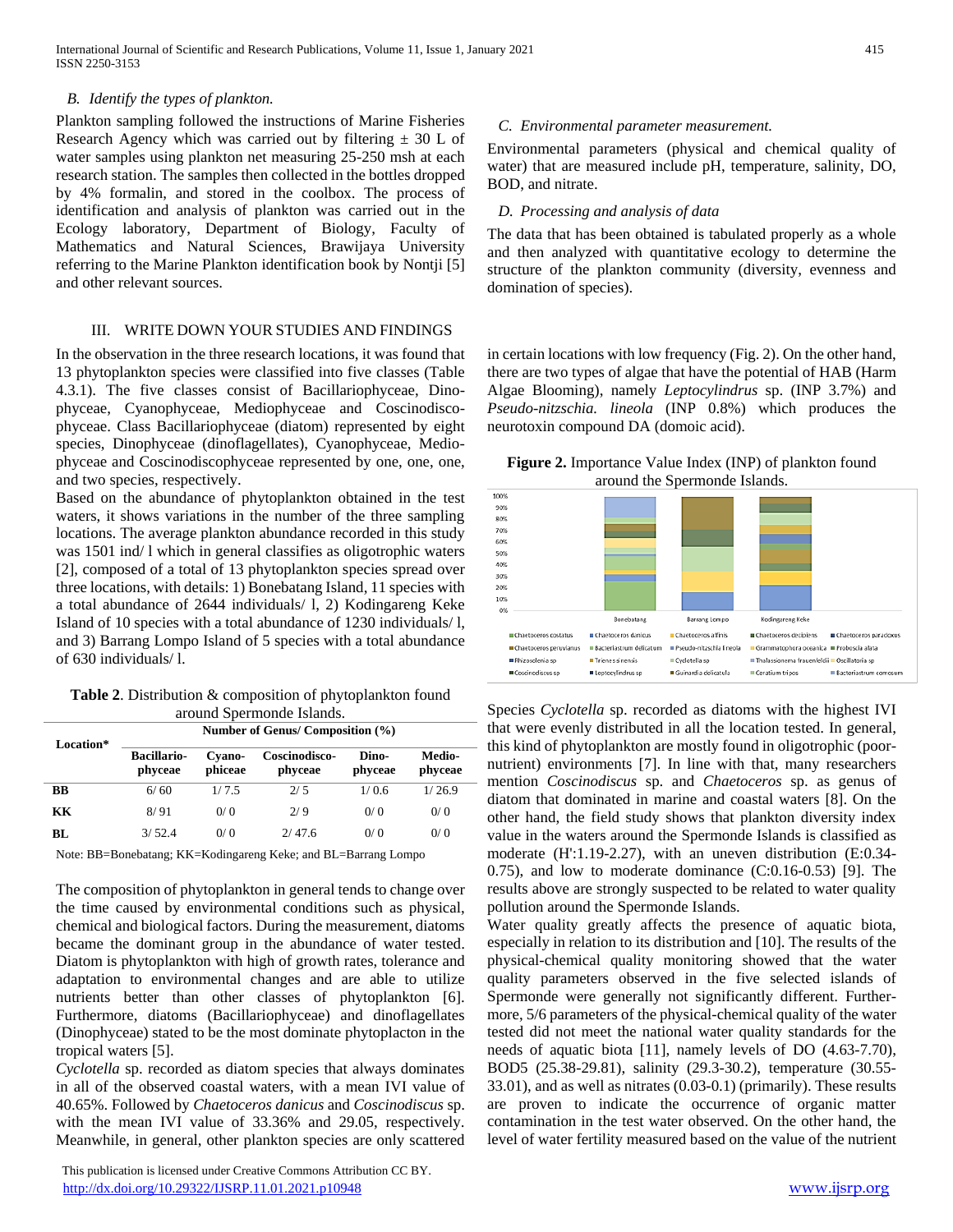## *B. Identify the types of plankton.*

Plankton sampling followed the instructions of Marine Fisheries Research Agency which was carried out by filtering  $\pm$  30 L of water samples using plankton net measuring 25-250 msh at each research station. The samples then collected in the bottles dropped by 4% formalin, and stored in the coolbox. The process of identification and analysis of plankton was carried out in the Ecology laboratory, Department of Biology, Faculty of Mathematics and Natural Sciences, Brawijaya University referring to the Marine Plankton identification book by Nontji [5] and other relevant sources.

#### III. WRITE DOWN YOUR STUDIES AND FINDINGS

In the observation in the three research locations, it was found that 13 phytoplankton species were classified into five classes (Table 4.3.1). The five classes consist of Bacillariophyceae, Dinophyceae, Cyanophyceae, Mediophyceae and Coscinodiscophyceae. Class Bacillariophyceae (diatom) represented by eight species, Dinophyceae (dinoflagellates), Cyanophyceae, Mediophyceae and Coscinodiscophyceae represented by one, one, one, and two species, respectively.

Based on the abundance of phytoplankton obtained in the test waters, it shows variations in the number of the three sampling locations. The average plankton abundance recorded in this study was 1501 ind/ l which in general classifies as oligotrophic waters [2], composed of a total of 13 phytoplankton species spread over three locations, with details: 1) Bonebatang Island, 11 species with a total abundance of 2644 individuals/ l, 2) Kodingareng Keke Island of 10 species with a total abundance of 1230 individuals/ l, and 3) Barrang Lompo Island of 5 species with a total abundance of 630 individuals/ l.

| <b>Table 2.</b> Distribution & composition of phytoplankton found |  |
|-------------------------------------------------------------------|--|
| around Spermonde Islands.                                         |  |

| Location* | Number of Genus/ Composition (%) |                   |                          |                  |                   |  |
|-----------|----------------------------------|-------------------|--------------------------|------------------|-------------------|--|
|           | <b>Bacillario-</b><br>phyceae    | Cyano-<br>phiceae | Coscinodisco-<br>phyceae | Dino-<br>phyceae | Medio-<br>phyceae |  |
| BB        | 6/60                             | 1/7.5             | 2/5                      | 1/0.6            | 1/26.9            |  |
| KК        | 8/91                             | 0/0               | 2/9                      | 0/0              | 0/0               |  |
| BL        | 3/52.4                           | 0/0               | 2/47.6                   | 0/0              | 0/0               |  |

Note: BB=Bonebatang; KK=Kodingareng Keke; and BL=Barrang Lompo

The composition of phytoplankton in general tends to change over the time caused by environmental conditions such as physical, chemical and biological factors. During the measurement, diatoms became the dominant group in the abundance of water tested. Diatom is phytoplankton with high of growth rates, tolerance and adaptation to environmental changes and are able to utilize nutrients better than other classes of phytoplankton [6]. Furthermore, diatoms (Bacillariophyceae) and dinoflagellates (Dinophyceae) stated to be the most dominate phytoplacton in the tropical waters [5].

*Cyclotella* sp. recorded as diatom species that always dominates in all of the observed coastal waters, with a mean IVI value of 40.65%. Followed by *Chaetoceros danicus* and *Coscinodiscus* sp. with the mean IVI value of 33.36% and 29.05, respectively. Meanwhile, in general, other plankton species are only scattered

 This publication is licensed under Creative Commons Attribution CC BY. <http://dx.doi.org/10.29322/IJSRP.11.01.2021.p10948> [www.ijsrp.org](http://ijsrp.org/)

## *C. Environmental parameter measurement.*

Environmental parameters (physical and chemical quality of water) that are measured include pH, temperature, salinity, DO, BOD, and nitrate.

## *D. Processing and analysis of data*

The data that has been obtained is tabulated properly as a whole and then analyzed with quantitative ecology to determine the structure of the plankton community (diversity, evenness and domination of species).

in certain locations with low frequency (Fig. 2). On the other hand, there are two types of algae that have the potential of HAB (Harm Algae Blooming), namely *Leptocylindrus* sp. (INP 3.7%) and *Pseudo-nitzschia. lineola* (INP 0.8%) which produces the neurotoxin compound DA (domoic acid).

**Figure 2.** Importance Value Index (INP) of plankton found around the Spermonde Islands.



Species *Cyclotella* sp. recorded as diatoms with the highest IVI that were evenly distributed in all the location tested. In general, - this kind of phytoplankton are mostly found in oligotrophic (poornutrient) environments [7]. In line with that, many researchers mention *Coscinodiscus* sp. and *Chaetoceros* sp. as genus of diatom that dominated in marine and coastal waters [8]. On the other hand, the field study shows that plankton diversity index value in the waters around the Spermonde Islands is classified as moderate (H':1.19-2.27), with an uneven distribution (E:0.34- 0.75), and low to moderate dominance (C:0.16-0.53) [9]. The results above are strongly suspected to be related to water quality pollution around the Spermonde Islands.

Water quality greatly affects the presence of aquatic biota, especially in relation to its distribution and [10]. The results of the physical-chemical quality monitoring showed that the water quality parameters observed in the five selected islands of Spermonde were generally not significantly different. Furthermore, 5/6 parameters of the physical-chemical quality of the water tested did not meet the national water quality standards for the needs of aquatic biota [11], namely levels of DO (4.63-7.70), BOD5 (25.38-29.81), salinity (29.3-30.2), temperature (30.55- 33.01), and as well as nitrates (0.03-0.1) (primarily). These results are proven to indicate the occurrence of organic matter contamination in the test water observed. On the other hand, the level of water fertility measured based on the value of the nutrient